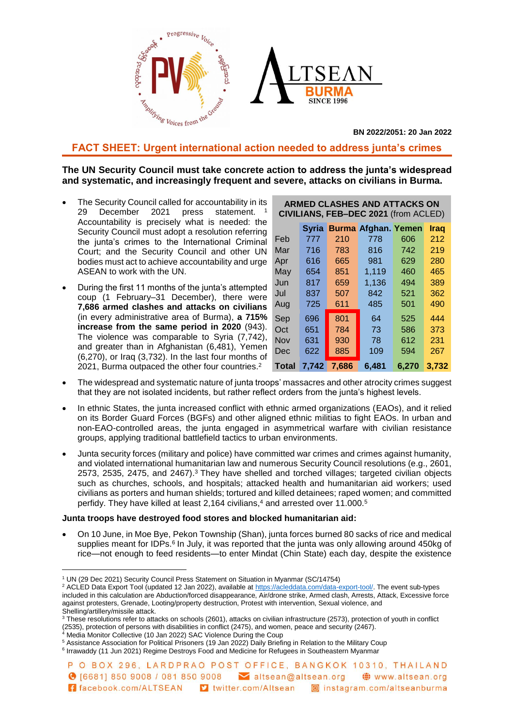

**BN 2022/2051: 20 Jan 2022**

# **FACT SHEET: Urgent international action needed to address junta's crimes**

## **The UN Security Council must take concrete action to address the junta's widespread and systematic, and increasingly frequent and severe, attacks on civilians in Burma.**

- The Security Council called for accountability in its 29 December 2021 press statement. Accountability is precisely what is needed: the Security Council must adopt a resolution referring the junta's crimes to the International Criminal Court; and the Security Council and other UN bodies must act to achieve accountability and urge ASEAN to work with the UN.
- During the first 11 months of the junta's attempted coup (1 February–31 December), there were **7,686 armed clashes and attacks on civilians** (in every administrative area of Burma), **a 715% increase from the same period in 2020** (943). The violence was comparable to Syria (7,742), and greater than in Afghanistan (6,481), Yemen (6,270), or Iraq (3,732). In the last four months of 2021, Burma outpaced the other four countries.<sup>2</sup>

| <b>ARMED CLASHES AND ATTACKS ON</b><br>CIVILIANS, FEB-DEC 2021 (from ACLED) |              |       |                            |       |       |
|-----------------------------------------------------------------------------|--------------|-------|----------------------------|-------|-------|
|                                                                             | <b>Syria</b> |       | <b>Burma Afghan. Yemen</b> |       | Iraq  |
| Feb                                                                         | 777          | 210   | 778                        | 606   | 212   |
| Mar                                                                         | 716          | 783   | 816                        | 742   | 219   |
| Apr                                                                         | 616          | 665   | 981                        | 629   | 280   |
| May                                                                         | 654          | 851   | 1,119                      | 460   | 465   |
| Jun                                                                         | 817          | 659   | 1,136                      | 494   | 389   |
| Jul                                                                         | 837          | 507   | 842                        | 521   | 362   |
| Aug                                                                         | 725          | 611   | 485                        | 501   | 490   |
| Sep                                                                         | 696          | 801   | 64                         | 525   | 444   |
| Oct                                                                         | 651          | 784   | 73                         | 586   | 373   |
| Nov                                                                         | 631          | 930   | 78                         | 612   | 231   |
| Dec                                                                         | 622          | 885   | 109                        | 594   | 267   |
| Total                                                                       | 7.742        | 7,686 | 6.481                      | 6.270 | 3,732 |

- The widespread and systematic nature of junta troops' massacres and other atrocity crimes suggest that they are not isolated incidents, but rather reflect orders from the junta's highest levels.
- In ethnic States, the junta increased conflict with ethnic armed organizations (EAOs), and it relied on its Border Guard Forces (BGFs) and other aligned ethnic militias to fight EAOs. In urban and non-EAO-controlled areas, the junta engaged in asymmetrical warfare with civilian resistance groups, applying traditional battlefield tactics to urban environments.
- Junta security forces (military and police) have committed war crimes and crimes against humanity, and violated international humanitarian law and numerous Security Council resolutions (e.g., 2601, 2573, 2535, 2475, and 2467).<sup>3</sup> They have shelled and torched villages; targeted civilian objects such as churches, schools, and hospitals; attacked health and humanitarian aid workers; used civilians as porters and human shields; tortured and killed detainees; raped women; and committed perfidy. They have killed at least 2,164 civilians, <sup>4</sup> and arrested over 11.000.<sup>5</sup>

### **Junta troops have destroyed food stores and blocked humanitarian aid:**

 On 10 June, in Moe Bye, Pekon Township (Shan), junta forces burned 80 sacks of rice and medical supplies meant for IDPs.<sup>6</sup> In July, it was reported that the junta was only allowing around 450kg of rice—not enough to feed residents—to enter Mindat (Chin State) each day, despite the existence

Media Monitor Collective (10 Jan 2022) SAC Violence During the Coup

 $\overline{a}$ 

<sup>&</sup>lt;sup>1</sup> UN (29 Dec 2021) Security Council Press Statement on Situation in Myanmar (SC/14754)

<sup>&</sup>lt;sup>2</sup> ACLED Data Export Tool (updated 12 Jan 2022), available at [https://acleddata.com/data-export-tool/.](https://acleddata.com/data-export-tool/) The event sub-types included in this calculation are Abduction/forced disappearance, Air/drone strike, Armed clash, Arrests, Attack, Excessive force against protesters, Grenade, Looting/property destruction, Protest with intervention, Sexual violence, and Shelling/artillery/missile attack.

<sup>3</sup> These resolutions refer to attacks on schools (2601), attacks on civilian infrastructure (2573), protection of youth in conflict (2535), protection of persons with disabilities in conflict (2475), and women, peace and security (2467).

<sup>5</sup> Assistance Association for Political Prisoners (19 Jan 2022) Daily Briefing in Relation to the Military Coup <sup>6</sup> Irrawaddy (11 Jun 2021) Regime Destroys Food and Medicine for Refugees in Southeastern Myanmar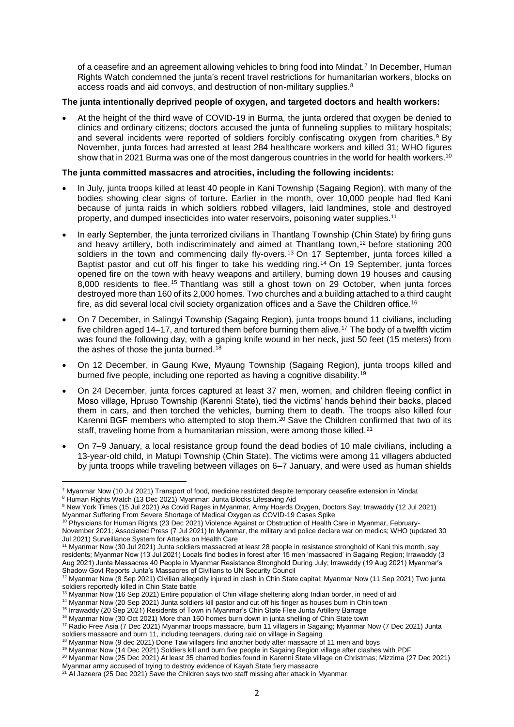of a ceasefire and an agreement allowing vehicles to bring food into Mindat.<sup>7</sup> In December, Human Rights Watch condemned the junta's recent travel restrictions for humanitarian workers, blocks on access roads and aid convoys, and destruction of non-military supplies.<sup>8</sup>

### **The junta intentionally deprived people of oxygen, and targeted doctors and health workers:**

 At the height of the third wave of COVID-19 in Burma, the junta ordered that oxygen be denied to clinics and ordinary citizens; doctors accused the junta of funneling supplies to military hospitals; and several incidents were reported of soldiers forcibly confiscating oxygen from charities.<sup>9</sup> By November, junta forces had arrested at least 284 healthcare workers and killed 31; WHO figures show that in 2021 Burma was one of the most dangerous countries in the world for health workers.<sup>10</sup>

### **The junta committed massacres and atrocities, including the following incidents:**

- In July, junta troops killed at least 40 people in Kani Township (Sagaing Region), with many of the bodies showing clear signs of torture. Earlier in the month, over 10,000 people had fled Kani because of junta raids in which soldiers robbed villagers, laid landmines, stole and destroyed property, and dumped insecticides into water reservoirs, poisoning water supplies.<sup>11</sup>
- In early September, the junta terrorized civilians in Thantlang Township (Chin State) by firing guns and heavy artillery, both indiscriminately and aimed at Thantlang town,<sup>12</sup> before stationing 200 soldiers in the town and commencing daily fly-overs.<sup>13</sup> On 17 September, junta forces killed a Baptist pastor and cut off his finger to take his wedding ring.<sup>14</sup> On 19 September, junta forces opened fire on the town with heavy weapons and artillery, burning down 19 houses and causing 8,000 residents to flee. <sup>15</sup> Thantlang was still a ghost town on 29 October, when junta forces destroyed more than 160 of its 2,000 homes. Two churches and a building attached to a third caught fire, as did several local civil society organization offices and a Save the Children office.<sup>16</sup>
- On 7 December, in Salingyi Township (Sagaing Region), junta troops bound 11 civilians, including five children aged 14–17, and tortured them before burning them alive.<sup>17</sup> The body of a twelfth victim was found the following day, with a gaping knife wound in her neck, just 50 feet (15 meters) from the ashes of those the junta burned.<sup>18</sup>
- On 12 December, in Gaung Kwe, Myaung Township (Sagaing Region), junta troops killed and burned five people, including one reported as having a cognitive disability.<sup>19</sup>
- On 24 December, junta forces captured at least 37 men, women, and children fleeing conflict in Moso village, Hpruso Township (Karenni State), tied the victims' hands behind their backs, placed them in cars, and then torched the vehicles, burning them to death. The troops also killed four Karenni BGF members who attempted to stop them.<sup>20</sup> Save the Children confirmed that two of its staff, traveling home from a humanitarian mission, were among those killed.<sup>21</sup>
- On 7–9 January, a local resistance group found the dead bodies of 10 male civilians, including a 13-year-old child, in Matupi Township (Chin State). The victims were among 11 villagers abducted by junta troops while traveling between villages on 6–7 January, and were used as human shields

soldiers massacre and burn 11, including teenagers, during raid on village in Sagaing

1

<sup>7</sup> Myanmar Now (10 Jul 2021) Transport of food, medicine restricted despite temporary ceasefire extension in Mindat <sup>8</sup> Human Rights Watch (13 Dec 2021) Myanmar: Junta Blocks Lifesaving Aid

<sup>9</sup> New York Times (15 Jul 2021) As Covid Rages in Myanmar, Army Hoards Oxygen, Doctors Say; Irrawaddy (12 Jul 2021) Myanmar Suffering From Severe Shortage of Medical Oxygen as COVID-19 Cases Spike

<sup>10</sup> Physicians for Human Rights (23 Dec 2021) Violence Against or Obstruction of Health Care in Myanmar, February-November 2021; Associated Press (7 Jul 2021) In Myanmar, the military and police declare war on medics; WHO (updated 30 Jul 2021) Surveillance System for Attacks on Health Care

<sup>11</sup> Myanmar Now (30 Jul 2021) Junta soldiers massacred at least 28 people in resistance stronghold of Kani this month, say residents; Myanmar Now (13 Jul 2021) Locals find bodies in forest after 15 men 'massacred' in Sagaing Region; Irrawaddy (3 Aug 2021) Junta Massacres 40 People in Myanmar Resistance Stronghold During July; Irrawaddy (19 Aug 2021) Myanmar's Shadow Govt Reports Junta's Massacres of Civilians to UN Security Council

<sup>&</sup>lt;sup>12</sup> Myanmar Now (8 Sep 2021) Civilian allegedly injured in clash in Chin State capital; Myanmar Now (11 Sep 2021) Two junta soldiers reportedly killed in Chin State battle

<sup>&</sup>lt;sup>13</sup> Myanmar Now (16 Sep 2021) Entire population of Chin village sheltering along Indian border, in need of aid

<sup>14</sup> Myanmar Now (20 Sep 2021) Junta soldiers kill pastor and cut off his finger as houses burn in Chin town

<sup>15</sup> Irrawaddy (20 Sep 2021) Residents of Town in Myanmar's Chin State Flee Junta Artillery Barrage

<sup>&</sup>lt;sup>16</sup> Myanmar Now (30 Oct 2021) More than 160 homes burn down in junta shelling of Chin State town <sup>17</sup> Radio Free Asia (7 Dec 2021) Myanmar troops massacre, burn 11 villagers in Sagaing; Myanmar Now (7 Dec 2021) Junta

<sup>&</sup>lt;sup>18</sup> Myanmar Now (9 dec 2021) Done Taw villagers find another body after massacre of 11 men and boys <sup>19</sup> Myanmar Now (14 Dec 2021) Soldiers kill and burn five [people in Sagaing Region village after clashes with PDF](https://myanmar-now.org/en/news/soldiers-kill-and-burn-five-people-in-sagaing-region-village-after-clashes-with-pdf) 

<sup>20</sup> Myanmar Now (25 Dec 2021) At least 35 charred bodies found in Karenni State village on Christmas; Mizzima (27 Dec 2021)

Myanmar army accused of trying to destroy evidence of Kayah State fiery massacre

<sup>&</sup>lt;sup>21</sup> Al Jazeera (25 Dec 2021) Save the Children says two staff missing after attack in Myanmar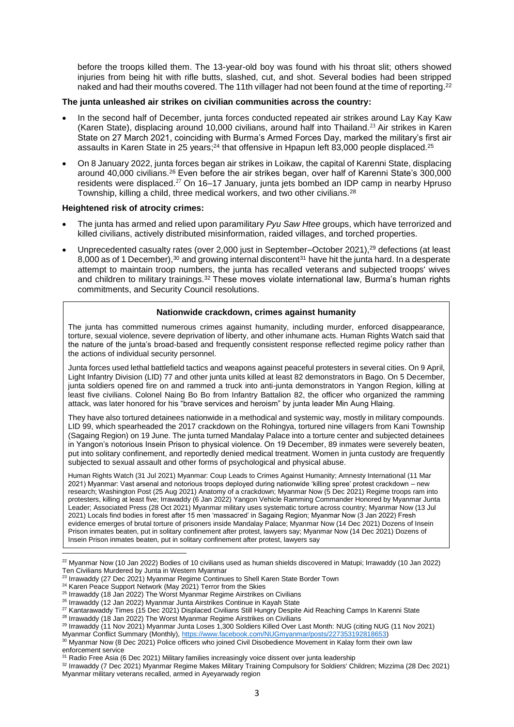before the troops killed them. The 13-year-old boy was found with his throat slit; others showed injuries from being hit with rifle butts, slashed, cut, and shot. Several bodies had been stripped naked and had their mouths covered. The 11th villager had not been found at the time of reporting.<sup>22</sup>

#### **The junta unleashed air strikes on civilian communities across the country:**

- In the second half of December, junta forces conducted repeated air strikes around Lay Kay Kaw (Karen State), displacing around 10,000 civilians, around half into Thailand.<sup>23</sup> Air strikes in Karen State on 27 March 2021, coinciding with Burma's Armed Forces Day, marked the military's first air assaults in Karen State in 25 years;<sup>24</sup> that offensive in Hpapun left 83,000 people displaced.<sup>25</sup>
- On 8 January 2022, junta forces began air strikes in Loikaw, the capital of Karenni State, displacing around 40,000 civilians.<sup>26</sup> Even before the air strikes began, over half of Karenni State's 300,000 residents were displaced.<sup>27</sup> On 16–17 January, junta jets bombed an IDP camp in nearby Hpruso Township, killing a child, three medical workers, and two other civilians.<sup>28</sup>

### **Heightened risk of atrocity crimes:**

- The junta has armed and relied upon paramilitary *Pyu Saw Htee* groups, which have terrorized and killed civilians, actively distributed misinformation, raided villages, and torched properties.
- Unprecedented casualty rates (over 2,000 just in September–October 2021),<sup>29</sup> defections (at least 8,000 as of 1 December),<sup>30</sup> and growing internal discontent<sup>31</sup> have hit the junta hard. In a desperate attempt to maintain troop numbers, the junta has recalled veterans and subjected troops' wives and children to military trainings.<sup>32</sup> These moves violate international law, Burma's human rights commitments, and Security Council resolutions.

### **Nationwide crackdown, crimes against humanity**

The junta has committed numerous crimes against humanity, including murder, enforced disappearance, torture, sexual violence, severe deprivation of liberty, and other inhumane acts. Human Rights Watch said that the nature of the junta's broad-based and frequently consistent response reflected regime policy rather than the actions of individual security personnel.

Junta forces used lethal battlefield tactics and weapons against peaceful protesters in several cities. On 9 April, Light Infantry Division (LID) 77 and other junta units killed at least 82 demonstrators in Bago. On 5 December, junta soldiers opened fire on and rammed a truck into anti-junta demonstrators in Yangon Region, killing at least five civilians. Colonel Naing Bo Bo from Infantry Battalion 82, the officer who organized the ramming attack, was later honored for his "brave services and heroism" by junta leader Min Aung Hlaing.

They have also tortured detainees nationwide in a methodical and systemic way, mostly in military compounds. LID 99, which spearheaded the 2017 crackdown on the Rohingya, tortured nine villagers from Kani Township (Sagaing Region) on 19 June. The junta turned Mandalay Palace into a torture center and subjected detainees in Yangon's notorious Insein Prison to physical violence. On 19 December, 89 inmates were severely beaten, put into solitary confinement, and reportedly denied medical treatment. Women in junta custody are frequently subjected to sexual assault and other forms of psychological and physical abuse.

Human Rights Watch (31 Jul 2021) Myanmar: Coup Leads to Crimes Against Humanity; Amnesty International (11 Mar 2021) Myanmar: Vast arsenal and notorious troops deployed during nationwide 'killing spree' protest crackdown – new research; Washington Post (25 Aug 2021) Anatomy of a crackdown; Myanmar Now (5 Dec 2021) Regime troops ram into protesters, killing at least five; Irrawaddy (6 Jan 2022) Yangon Vehicle Ramming Commander Honored by Myanmar Junta Leader; Associated Press (28 Oct 2021) Myanmar military uses systematic torture across country; Myanmar Now (13 Jul 2021) Locals find bodies in forest after 15 men 'massacred' in Sagaing Region; Myanmar Now (3 Jan 2022) Fresh evidence emerges of brutal torture of prisoners inside Mandalay Palace; Myanmar Now (14 Dec 2021) Dozens of Insein Prison inmates beaten, put in solitary confinement after protest, lawyers say; Myanmar Now (14 Dec 2021) Dozens of Insein Prison inmates beaten, put in solitary confinement after protest, lawyers say

 $\overline{a}$ 

<sup>22</sup> Myanmar Now (10 Jan 2022) Bodies of 10 civilians used as human shields discovered in Matupi; Irrawaddy (10 Jan 2022) Ten Civilians Murdered by Junta in Western Myanmar

<sup>&</sup>lt;sup>23</sup> Irrawaddy (27 Dec 2021) Myanmar Regime Continues to Shell Karen State Border Town

<sup>&</sup>lt;sup>24</sup> Karen Peace Support Network (May 2021) Terror from the Skies

<sup>&</sup>lt;sup>25</sup> Irrawaddy (18 Jan 2022) The Worst Myanmar Regime Airstrikes on Civilians

<sup>&</sup>lt;sup>26</sup> Irrawaddy (12 Jan 2022) Myanmar Junta Airstrikes Continue in Kayah State

<sup>&</sup>lt;sup>27</sup> Kantarawaddy Times (15 Dec 2021) Displaced Civilians Still Hungry Despite Aid Reaching Camps In Karenni State 28 Irrawaddy (18 Jan 2022) The Worst Myanmar Regime Airstrikes on Civilians

<sup>29</sup> Irrawaddy (11 Nov 2021) Myanmar Junta Loses 1,300 Soldiers Killed Over Last Month: NUG (citing NUG (11 Nov 2021)

Myanmar Conflict Summary (Monthly)[, https://www.facebook.com/NUGmyanmar/posts/227353192818653\)](https://www.facebook.com/NUGmyanmar/posts/227353192818653) <sup>30</sup> Myanmar Now (8 Dec 2021) Police officers who joined Civil Disobedience Movement in Kalay form their own law

enforcement service

<sup>31</sup> Radio Free Asia (6 Dec 2021) Military families increasingly voice dissent over junta leadership

<sup>32</sup> Irrawaddy (7 Dec 2021) Myanmar Regime Makes Military Training Compulsory for Soldiers' Children; Mizzima (28 Dec 2021) Myanmar military veterans recalled, armed in Ayeyarwady region